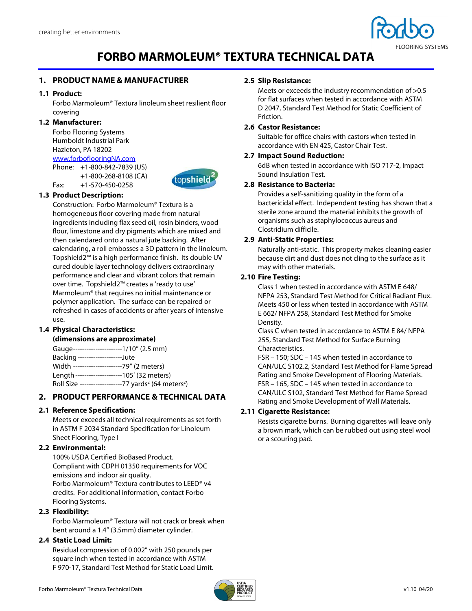

# **FORBO MARMOLEUM® TEXTURA TECHNICAL DATA**

# **1. PRODUCT NAME & MANUFACTURER**

# **1.1 Product:**

Forbo Marmoleum® Textura linoleum sheet resilient floor covering

# **1.2 Manufacturer:**

Forbo Flooring Systems Humboldt Industrial Park Hazleton, PA 18202 www.forboflooringNA.com Phone: +1-800-842-7839 (US)

 +1-800-268-8108 (CA) Fax: +1-570-450-0258



# **1.3 Product Description:**

Construction: Forbo Marmoleum® Textura is a homogeneous floor covering made from natural ingredients including flax seed oil, rosin binders, wood flour, limestone and dry pigments which are mixed and then calendared onto a natural jute backing. After calendaring, a roll embosses a 3D pattern in the linoleum. Topshield2™ is a high performance finish. Its double UV cured double layer technology delivers extraordinary performance and clear and vibrant colors that remain over time. Topshield2™ creates a 'ready to use' Marmoleum® that requires no initial maintenance or polymer application. The surface can be repaired or refreshed in cases of accidents or after years of intensive use.

# **1.4 Physical Characteristics:**

# **(dimensions are approximate)**

Gauge ----------------------1/10" (2.5 mm) Backing --------------------Jute Width ----------------------79" (2 meters) Length ---------------------105' (32 meters) Roll Size -------------------77 yards<sup>2</sup> (64 meters<sup>2</sup>)

# **2. PRODUCT PERFORMANCE & TECHNICAL DATA**

# **2.1 Reference Specification:**

Meets or exceeds all technical requirements as set forth in ASTM F 2034 Standard Specification for Linoleum Sheet Flooring, Type I

# **2.2 Environmental:**

100% USDA Certified BioBased Product. Compliant with CDPH 01350 requirements for VOC emissions and indoor air quality. Forbo Marmoleum® Textura contributes to LEED® v4 credits. For additional information, contact Forbo Flooring Systems.

# **2.3 Flexibility:**

Forbo Marmoleum® Textura will not crack or break when bent around a 1.4" (3.5mm) diameter cylinder.

# **2.4 Static Load Limit:**

Residual compression of 0.002" with 250 pounds per square inch when tested in accordance with ASTM F 970-17, Standard Test Method for Static Load Limit.

#### **2.5 Slip Resistance:**

Meets or exceeds the industry recommendation of >0.5 for flat surfaces when tested in accordance with ASTM D 2047, Standard Test Method for Static Coefficient of Friction.

### **2.6 Castor Resistance:**

Suitable for office chairs with castors when tested in accordance with EN 425, Castor Chair Test.

#### **2.7 Impact Sound Reduction:**

6dB when tested in accordance with ISO 717-2, Impact Sound Insulation Test.

#### **2.8 Resistance to Bacteria:**

Provides a self-sanitizing quality in the form of a bactericidal effect. Independent testing has shown that a sterile zone around the material inhibits the growth of organisms such as staphylococcus aureus and Clostridium difficile.

#### **2.9 Anti-Static Properties:**

Naturally anti-static. This property makes cleaning easier because dirt and dust does not cling to the surface as it may with other materials.

#### **2.10 Fire Testing:**

Class 1 when tested in accordance with ASTM E 648/ NFPA 253, Standard Test Method for Critical Radiant Flux. Meets 450 or less when tested in accordance with ASTM E 662/ NFPA 258, Standard Test Method for Smoke Density.

Class C when tested in accordance to ASTM E 84/ NFPA 255, Standard Test Method for Surface Burning Characteristics.

FSR – 150; SDC – 145 when tested in accordance to CAN/ULC S102.2, Standard Test Method for Flame Spread Rating and Smoke Development of Flooring Materials. FSR – 165, SDC – 145 when tested in accordance to CAN/ULC S102, Standard Test Method for Flame Spread Rating and Smoke Development of Wall Materials.

# **2.11 Cigarette Resistance:**

Resists cigarette burns. Burning cigarettes will leave only a brown mark, which can be rubbed out using steel wool or a scouring pad.